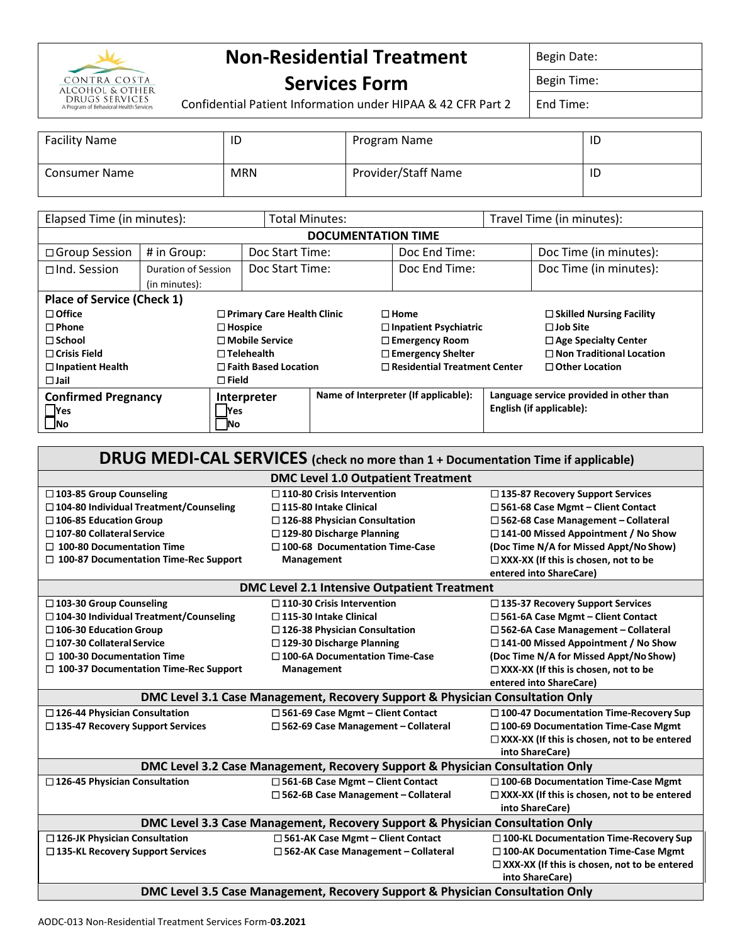

## **Non-Residential Treatment**

Begin Date:

## **Services Form**

Begin Time:

Confidential Patient Information under HIPAA & 42 CFR Part 2

End Time:

| <b>Facility Name</b> | ID         | Program Name        | ID |
|----------------------|------------|---------------------|----|
| <b>Consumer Name</b> | <b>MRN</b> | Provider/Staff Name | ID |

| Elapsed Time (in minutes):        |                                      |                                   | <b>Total Minutes:</b> |                                     | Travel Time (in minutes):            |                             |                                         |
|-----------------------------------|--------------------------------------|-----------------------------------|-----------------------|-------------------------------------|--------------------------------------|-----------------------------|-----------------------------------------|
| <b>DOCUMENTATION TIME</b>         |                                      |                                   |                       |                                     |                                      |                             |                                         |
| □ Group Session                   | # in Group:                          |                                   | Doc Start Time:       |                                     | Doc End Time:                        |                             | Doc Time (in minutes):                  |
| $\Box$ Ind. Session               | Duration of Session<br>(in minutes): |                                   | Doc Start Time:       |                                     | Doc End Time:                        |                             | Doc Time (in minutes):                  |
| <b>Place of Service (Check 1)</b> |                                      |                                   |                       |                                     |                                      |                             |                                         |
| $\Box$ Office                     |                                      | $\Box$ Primary Care Health Clinic |                       |                                     | $\square$ Home                       |                             | $\Box$ Skilled Nursing Facility         |
| $\Box$ Phone                      |                                      | $\square$ Hospice                 |                       | $\Box$ Inpatient Psychiatric        |                                      |                             | $\Box$ Job Site                         |
| $\Box$ School                     |                                      | $\Box$ Mobile Service             |                       | $\Box$ Emergency Room               |                                      | $\Box$ Age Specialty Center |                                         |
| $\Box$ Crisis Field               |                                      | $\Box$ Telehealth                 |                       |                                     | □ Emergency Shelter                  |                             | $\Box$ Non Traditional Location         |
| $\Box$ Inpatient Health           |                                      | $\Box$ Faith Based Location       |                       | $\Box$ Residential Treatment Center |                                      |                             | $\Box$ Other Location                   |
| $\Box$ Jail                       |                                      | $\square$ Field                   |                       |                                     |                                      |                             |                                         |
| <b>Confirmed Pregnancy</b>        |                                      | Interpreter                       |                       |                                     | Name of Interpreter (If applicable): |                             | Language service provided in other than |
| <b>Yes</b>                        |                                      | <b>Yes</b>                        |                       |                                     |                                      |                             | English (if applicable):                |
| <b>INo</b>                        |                                      | - INo                             |                       |                                     |                                      |                             |                                         |

| DRUG MEDI-CAL SERVICES (check no more than 1 + Documentation Time if applicable) |                                                                               |                                                                        |  |  |
|----------------------------------------------------------------------------------|-------------------------------------------------------------------------------|------------------------------------------------------------------------|--|--|
|                                                                                  | <b>DMC Level 1.0 Outpatient Treatment</b>                                     |                                                                        |  |  |
| □ 103-85 Group Counseling                                                        | $\square$ 110-80 Crisis Intervention                                          | $\square$ 135-87 Recovery Support Services                             |  |  |
| $\Box$ 104-80 Individual Treatment/Counseling                                    | $\square$ 115-80 Intake Clinical                                              | $\Box$ 561-68 Case Mgmt - Client Contact                               |  |  |
| $\square$ 106-85 Education Group                                                 | $\square$ 126-88 Physician Consultation                                       | $\square$ 562-68 Case Management - Collateral                          |  |  |
| $\square$ 107-80 Collateral Service                                              | $\Box$ 129-80 Discharge Planning                                              | $\Box$ 141-00 Missed Appointment / No Show                             |  |  |
| $\Box$ 100-80 Documentation Time                                                 | $\square$ 100-68 Documentation Time-Case                                      | (Doc Time N/A for Missed Appt/No Show)                                 |  |  |
| $\Box$ 100-87 Documentation Time-Rec Support                                     | Management                                                                    | $\Box$ XXX-XX (If this is chosen, not to be                            |  |  |
|                                                                                  |                                                                               | entered into ShareCare)                                                |  |  |
|                                                                                  | DMC Level 2.1 Intensive Outpatient Treatment                                  |                                                                        |  |  |
| $\square$ 103-30 Group Counseling                                                | $\square$ 110-30 Crisis Intervention                                          | $\square$ 135-37 Recovery Support Services                             |  |  |
| $\Box$ 104-30 Individual Treatment/Counseling                                    | $\square$ 115-30 Intake Clinical                                              | $\Box$ 561-6A Case Mgmt – Client Contact                               |  |  |
| $\square$ 106-30 Education Group                                                 | $\square$ 126-38 Physician Consultation                                       | $\square$ 562-6A Case Management - Collateral                          |  |  |
| $\square$ 107-30 Collateral Service                                              | $\square$ 129-30 Discharge Planning                                           | $\Box$ 141-00 Missed Appointment / No Show                             |  |  |
| $\Box$ 100-30 Documentation Time                                                 | $\square$ 100-6A Documentation Time-Case                                      | (Doc Time N/A for Missed Appt/No Show)                                 |  |  |
| $\Box$ 100-37 Documentation Time-Rec Support                                     | Management                                                                    | □ XXX-XX (If this is chosen, not to be                                 |  |  |
|                                                                                  |                                                                               | entered into ShareCare)                                                |  |  |
|                                                                                  | DMC Level 3.1 Case Management, Recovery Support & Physician Consultation Only |                                                                        |  |  |
| □ 126-44 Physician Consultation                                                  | $\Box$ 561-69 Case Mgmt - Client Contact                                      | □ 100-47 Documentation Time-Recovery Sup                               |  |  |
| □ 135-47 Recovery Support Services                                               | $\square$ 562-69 Case Management - Collateral                                 | □ 100-69 Documentation Time-Case Mgmt                                  |  |  |
|                                                                                  |                                                                               | □ XXX-XX (If this is chosen, not to be entered                         |  |  |
|                                                                                  |                                                                               | into ShareCare)                                                        |  |  |
| DMC Level 3.2 Case Management, Recovery Support & Physician Consultation Only    |                                                                               |                                                                        |  |  |
| □ 126-45 Physician Consultation                                                  | □ 561-6B Case Mgmt - Client Contact                                           | □ 100-6B Documentation Time-Case Mgmt                                  |  |  |
|                                                                                  | $\Box$ 562-6B Case Management - Collateral                                    | $\Box$ XXX-XX (If this is chosen, not to be entered                    |  |  |
|                                                                                  |                                                                               | into ShareCare)                                                        |  |  |
| DMC Level 3.3 Case Management, Recovery Support & Physician Consultation Only    |                                                                               |                                                                        |  |  |
| □ 126-JK Physician Consultation                                                  | □ 561-AK Case Mgmt - Client Contact                                           | □ 100-KL Documentation Time-Recovery Sup                               |  |  |
| $\square$ 135-KL Recovery Support Services                                       | □ 562-AK Case Management - Collateral                                         | $\square$ 100-AK Documentation Time-Case Mgmt                          |  |  |
|                                                                                  |                                                                               | $\Box$ XXX-XX (If this is chosen, not to be entered<br>into ShareCare) |  |  |
| DMC Level 3.5 Case Management, Recovery Support & Physician Consultation Only    |                                                                               |                                                                        |  |  |